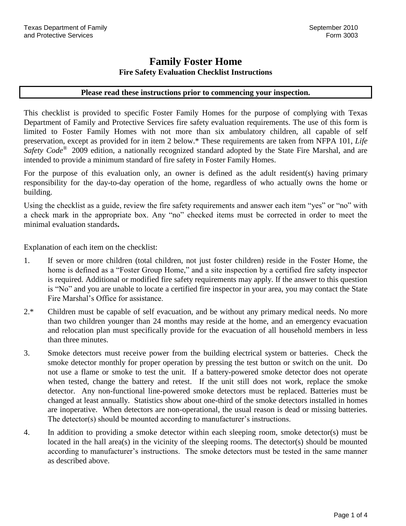## **Family Foster Home Fire Safety Evaluation Checklist Instructions**

### **Please read these instructions prior to commencing your inspection.**

This checklist is provided to specific Foster Family Homes for the purpose of complying with Texas Department of Family and Protective Services fire safety evaluation requirements. The use of this form is limited to Foster Family Homes with not more than six ambulatory children, all capable of self preservation, except as provided for in item 2 below.\* These requirements are taken from NFPA 101, *Life Safety Code*® 2009 edition, a nationally recognized standard adopted by the State Fire Marshal, and are intended to provide a minimum standard of fire safety in Foster Family Homes.

For the purpose of this evaluation only, an owner is defined as the adult resident(s) having primary responsibility for the day-to-day operation of the home, regardless of who actually owns the home or building.

Using the checklist as a guide, review the fire safety requirements and answer each item "yes" or "no" with a check mark in the appropriate box. Any "no" checked items must be corrected in order to meet the minimal evaluation standards**.**

Explanation of each item on the checklist:

- 1. If seven or more children (total children, not just foster children) reside in the Foster Home, the home is defined as a "Foster Group Home," and a site inspection by a certified fire safety inspector is required. Additional or modified fire safety requirements may apply. If the answer to this question is "No" and you are unable to locate a certified fire inspector in your area, you may contact the State Fire Marshal's Office for assistance.
- 2.\* Children must be capable of self evacuation, and be without any primary medical needs. No more than two children younger than 24 months may reside at the home, and an emergency evacuation and relocation plan must specifically provide for the evacuation of all household members in less than three minutes.
- 3. Smoke detectors must receive power from the building electrical system or batteries. Check the smoke detector monthly for proper operation by pressing the test button or switch on the unit. Do not use a flame or smoke to test the unit. If a battery-powered smoke detector does not operate when tested, change the battery and retest. If the unit still does not work, replace the smoke detector. Any non-functional line-powered smoke detectors must be replaced. Batteries must be changed at least annually. Statistics show about one-third of the smoke detectors installed in homes are inoperative. When detectors are non-operational, the usual reason is dead or missing batteries. The detector(s) should be mounted according to manufacturer's instructions.
- 4. In addition to providing a smoke detector within each sleeping room, smoke detector(s) must be located in the hall area(s) in the vicinity of the sleeping rooms. The detector(s) should be mounted according to manufacturer's instructions. The smoke detectors must be tested in the same manner as described above.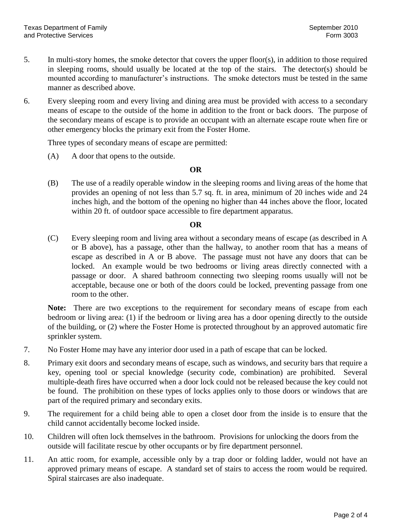- 5. In multi-story homes, the smoke detector that covers the upper floor(s), in addition to those required in sleeping rooms, should usually be located at the top of the stairs. The detector(s) should be mounted according to manufacturer's instructions. The smoke detectors must be tested in the same manner as described above.
- 6. Every sleeping room and every living and dining area must be provided with access to a secondary means of escape to the outside of the home in addition to the front or back doors. The purpose of the secondary means of escape is to provide an occupant with an alternate escape route when fire or other emergency blocks the primary exit from the Foster Home.

Three types of secondary means of escape are permitted:

(A) A door that opens to the outside.

### **OR**

(B) The use of a readily operable window in the sleeping rooms and living areas of the home that provides an opening of not less than 5.7 sq. ft. in area, minimum of 20 inches wide and 24 inches high, and the bottom of the opening no higher than 44 inches above the floor, located within 20 ft. of outdoor space accessible to fire department apparatus.

### **OR**

(C) Every sleeping room and living area without a secondary means of escape (as described in A or B above), has a passage, other than the hallway, to another room that has a means of escape as described in A or B above. The passage must not have any doors that can be locked. An example would be two bedrooms or living areas directly connected with a passage or door. A shared bathroom connecting two sleeping rooms usually will not be acceptable, because one or both of the doors could be locked, preventing passage from one room to the other.

**Note:** There are two exceptions to the requirement for secondary means of escape from each bedroom or living area: (1) if the bedroom or living area has a door opening directly to the outside of the building, or (2) where the Foster Home is protected throughout by an approved automatic fire sprinkler system.

- 7. No Foster Home may have any interior door used in a path of escape that can be locked.
- 8. Primary exit doors and secondary means of escape, such as windows, and security bars that require a key, opening tool or special knowledge (security code, combination) are prohibited. Several multiple-death fires have occurred when a door lock could not be released because the key could not be found. The prohibition on these types of locks applies only to those doors or windows that are part of the required primary and secondary exits.
- 9. The requirement for a child being able to open a closet door from the inside is to ensure that the child cannot accidentally become locked inside.
- 10. Children will often lock themselves in the bathroom. Provisions for unlocking the doors from the outside will facilitate rescue by other occupants or by fire department personnel.
- 11. An attic room, for example, accessible only by a trap door or folding ladder, would not have an approved primary means of escape. A standard set of stairs to access the room would be required. Spiral staircases are also inadequate.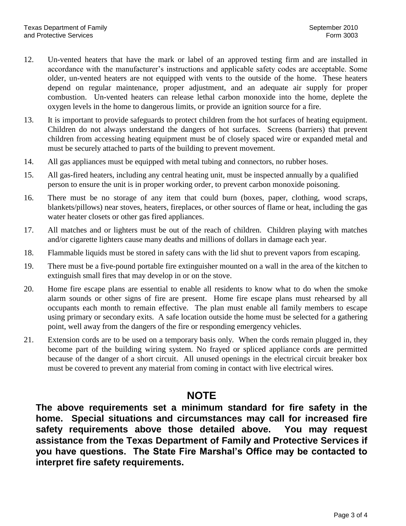- 12. Un-vented heaters that have the mark or label of an approved testing firm and are installed in accordance with the manufacturer's instructions and applicable safety codes are acceptable. Some older, un-vented heaters are not equipped with vents to the outside of the home. These heaters depend on regular maintenance, proper adjustment, and an adequate air supply for proper combustion. Un-vented heaters can release lethal carbon monoxide into the home, deplete the oxygen levels in the home to dangerous limits, or provide an ignition source for a fire.
- 13. It is important to provide safeguards to protect children from the hot surfaces of heating equipment. Children do not always understand the dangers of hot surfaces. Screens (barriers) that prevent children from accessing heating equipment must be of closely spaced wire or expanded metal and must be securely attached to parts of the building to prevent movement.
- 14. All gas appliances must be equipped with metal tubing and connectors, no rubber hoses.
- 15. All gas-fired heaters, including any central heating unit, must be inspected annually by a qualified person to ensure the unit is in proper working order, to prevent carbon monoxide poisoning.
- 16. There must be no storage of any item that could burn (boxes, paper, clothing, wood scraps, blankets/pillows) near stoves, heaters, fireplaces, or other sources of flame or heat, including the gas water heater closets or other gas fired appliances.
- 17. All matches and or lighters must be out of the reach of children. Children playing with matches and/or cigarette lighters cause many deaths and millions of dollars in damage each year.
- 18. Flammable liquids must be stored in safety cans with the lid shut to prevent vapors from escaping.
- 19. There must be a five-pound portable fire extinguisher mounted on a wall in the area of the kitchen to extinguish small fires that may develop in or on the stove.
- 20. Home fire escape plans are essential to enable all residents to know what to do when the smoke alarm sounds or other signs of fire are present. Home fire escape plans must rehearsed by all occupants each month to remain effective. The plan must enable all family members to escape using primary or secondary exits. A safe location outside the home must be selected for a gathering point, well away from the dangers of the fire or responding emergency vehicles.
- 21. Extension cords are to be used on a temporary basis only. When the cords remain plugged in, they become part of the building wiring system. No frayed or spliced appliance cords are permitted because of the danger of a short circuit. All unused openings in the electrical circuit breaker box must be covered to prevent any material from coming in contact with live electrical wires.

# **NOTE**

**The above requirements set a minimum standard for fire safety in the home. Special situations and circumstances may call for increased fire safety requirements above those detailed above. You may request assistance from the Texas Department of Family and Protective Services if you have questions. The State Fire Marshal's Office may be contacted to interpret fire safety requirements.**